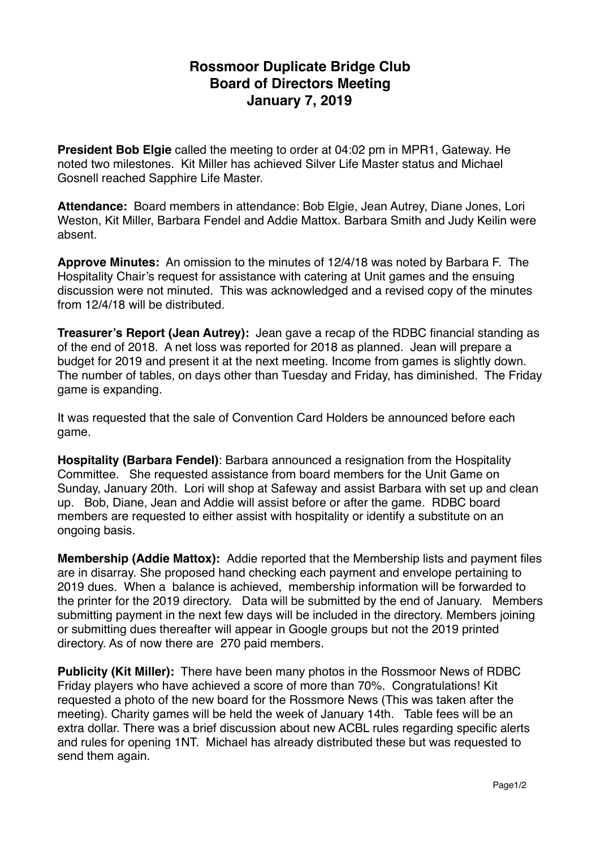## **Rossmoor Duplicate Bridge Club Board of Directors Meeting January 7, 2019**

**President Bob Elgie** called the meeting to order at 04:02 pm in MPR1, Gateway. He noted two milestones. Kit Miller has achieved Silver Life Master status and Michael Gosnell reached Sapphire Life Master.

**Attendance:** Board members in attendance: Bob Elgie, Jean Autrey, Diane Jones, Lori Weston, Kit Miller, Barbara Fendel and Addie Mattox. Barbara Smith and Judy Keilin were absent.

**Approve Minutes:** An omission to the minutes of 12/4/18 was noted by Barbara F. The Hospitality Chair's request for assistance with catering at Unit games and the ensuing discussion were not minuted. This was acknowledged and a revised copy of the minutes from 12/4/18 will be distributed.

**Treasurer's Report (Jean Autrey):** Jean gave a recap of the RDBC financial standing as of the end of 2018. A net loss was reported for 2018 as planned. Jean will prepare a budget for 2019 and present it at the next meeting. Income from games is slightly down. The number of tables, on days other than Tuesday and Friday, has diminished. The Friday game is expanding.

It was requested that the sale of Convention Card Holders be announced before each game.

**Hospitality (Barbara Fendel)**: Barbara announced a resignation from the Hospitality Committee. She requested assistance from board members for the Unit Game on Sunday, January 20th. Lori will shop at Safeway and assist Barbara with set up and clean up. Bob, Diane, Jean and Addie will assist before or after the game. RDBC board members are requested to either assist with hospitality or identify a substitute on an ongoing basis.

**Membership (Addie Mattox):** Addie reported that the Membership lists and payment files are in disarray. She proposed hand checking each payment and envelope pertaining to 2019 dues. When a balance is achieved, membership information will be forwarded to the printer for the 2019 directory. Data will be submitted by the end of January. Members submitting payment in the next few days will be included in the directory. Members joining or submitting dues thereafter will appear in Google groups but not the 2019 printed directory. As of now there are 270 paid members.

**Publicity (Kit Miller):** There have been many photos in the Rossmoor News of RDBC Friday players who have achieved a score of more than 70%. Congratulations! Kit requested a photo of the new board for the Rossmore News (This was taken after the meeting). Charity games will be held the week of January 14th. Table fees will be an extra dollar. There was a brief discussion about new ACBL rules regarding specific alerts and rules for opening 1NT. Michael has already distributed these but was requested to send them again.